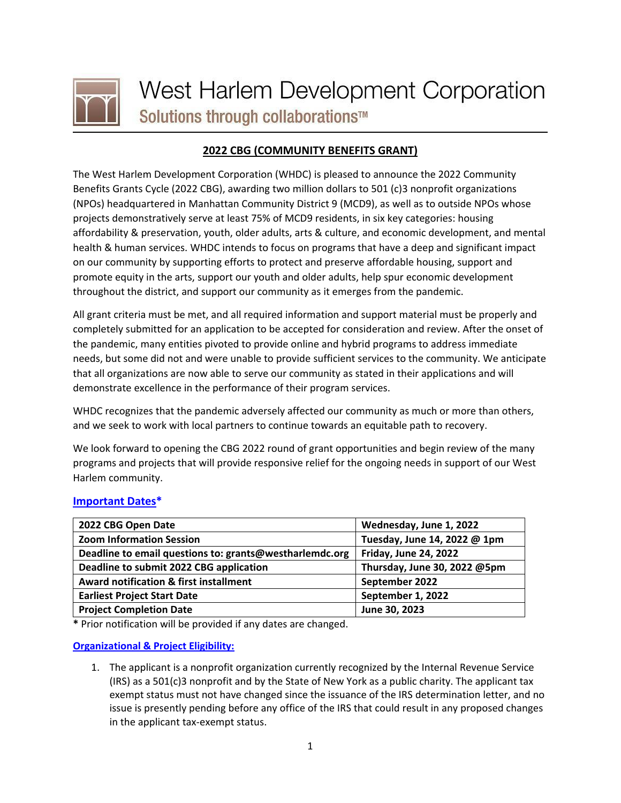

# **2022 CBG (COMMUNITY BENEFITS GRANT)**

The West Harlem Development Corporation (WHDC) is pleased to announce the 2022 Community Benefits Grants Cycle (2022 CBG), awarding two million dollars to 501 (c)3 nonprofit organizations (NPOs) headquartered in Manhattan Community District 9 (MCD9), as well as to outside NPOs whose projects demonstratively serve at least 75% of MCD9 residents, in six key categories: housing affordability & preservation, youth, older adults, arts & culture, and economic development, and mental health & human services. WHDC intends to focus on programs that have a deep and significant impact on our community by supporting efforts to protect and preserve affordable housing, support and promote equity in the arts, support our youth and older adults, help spur economic development throughout the district, and support our community as it emerges from the pandemic.

All grant criteria must be met, and all required information and support material must be properly and completely submitted for an application to be accepted for consideration and review. After the onset of the pandemic, many entities pivoted to provide online and hybrid programs to address immediate needs, but some did not and were unable to provide sufficient services to the community. We anticipate that all organizations are now able to serve our community as stated in their applications and will demonstrate excellence in the performance of their program services.

WHDC recognizes that the pandemic adversely affected our community as much or more than others, and we seek to work with local partners to continue towards an equitable path to recovery.

We look forward to opening the CBG 2022 round of grant opportunities and begin review of the many programs and projects that will provide responsive relief for the ongoing needs in support of our West Harlem community.

## **Important Dates\***

| 2022 CBG Open Date                                      | Wednesday, June 1, 2022      |
|---------------------------------------------------------|------------------------------|
| <b>Zoom Information Session</b>                         | Tuesday, June 14, 2022 @ 1pm |
| Deadline to email questions to: grants@westharlemdc.org | <b>Friday, June 24, 2022</b> |
| Deadline to submit 2022 CBG application                 | Thursday, June 30, 2022 @5pm |
| Award notification & first installment                  | September 2022               |
| <b>Earliest Project Start Date</b>                      | September 1, 2022            |
| <b>Project Completion Date</b>                          | June 30, 2023                |

**\*** Prior notification will be provided if any dates are changed.

#### **Organizational & Project Eligibility:**

1. The applicant is a nonprofit organization currently recognized by the Internal Revenue Service (IRS) as a 501(c)3 nonprofit and by the State of New York as a public charity. The applicant tax exempt status must not have changed since the issuance of the IRS determination letter, and no issue is presently pending before any office of the IRS that could result in any proposed changes in the applicant tax-exempt status.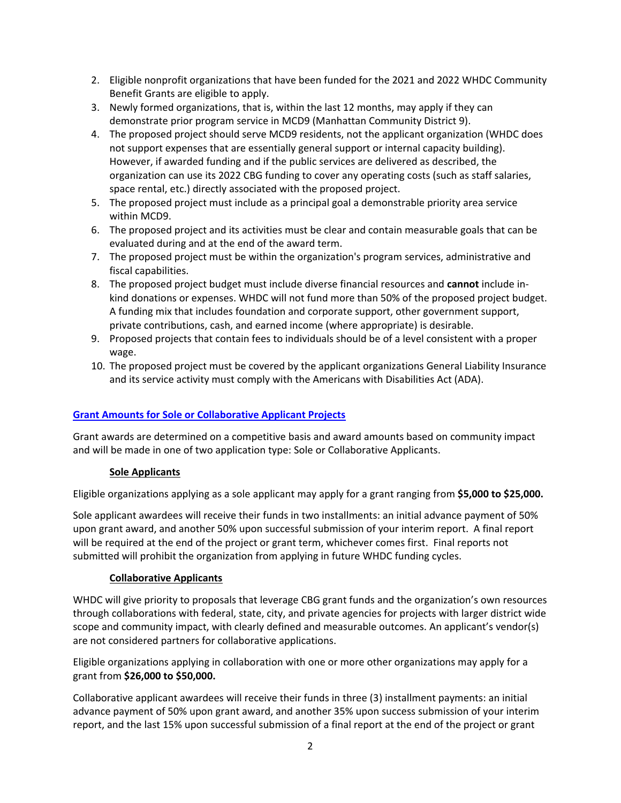- 2. Eligible nonprofit organizations that have been funded for the 2021 and 2022 WHDC Community Benefit Grants are eligible to apply.
- 3. Newly formed organizations, that is, within the last 12 months, may apply if they can demonstrate prior program service in MCD9 (Manhattan Community District 9).
- 4. The proposed project should serve MCD9 residents, not the applicant organization (WHDC does not support expenses that are essentially general support or internal capacity building). However, if awarded funding and if the public services are delivered as described, the organization can use its 2022 CBG funding to cover any operating costs (such as staff salaries, space rental, etc.) directly associated with the proposed project.
- 5. The proposed project must include as a principal goal a demonstrable priority area service within MCD9.
- 6. The proposed project and its activities must be clear and contain measurable goals that can be evaluated during and at the end of the award term.
- 7. The proposed project must be within the organization's program services, administrative and fiscal capabilities.
- 8. The proposed project budget must include diverse financial resources and **cannot** include inkind donations or expenses. WHDC will not fund more than 50% of the proposed project budget. A funding mix that includes foundation and corporate support, other government support, private contributions, cash, and earned income (where appropriate) is desirable.
- 9. Proposed projects that contain fees to individuals should be of a level consistent with a proper wage.
- 10. The proposed project must be covered by the applicant organizations General Liability Insurance and its service activity must comply with the Americans with Disabilities Act (ADA).

## **Grant Amounts for Sole or Collaborative Applicant Projects**

Grant awards are determined on a competitive basis and award amounts based on community impact and will be made in one of two application type: Sole or Collaborative Applicants.

#### **Sole Applicants**

Eligible organizations applying as a sole applicant may apply for a grant ranging from **\$5,000 to \$25,000.** 

Sole applicant awardees will receive their funds in two installments: an initial advance payment of 50% upon grant award, and another 50% upon successful submission of your interim report. A final report will be required at the end of the project or grant term, whichever comes first. Final reports not submitted will prohibit the organization from applying in future WHDC funding cycles.

#### **Collaborative Applicants**

WHDC will give priority to proposals that leverage CBG grant funds and the organization's own resources through collaborations with federal, state, city, and private agencies for projects with larger district wide scope and community impact, with clearly defined and measurable outcomes. An applicant's vendor(s) are not considered partners for collaborative applications.

Eligible organizations applying in collaboration with one or more other organizations may apply for a grant from **\$26,000 to \$50,000.**

Collaborative applicant awardees will receive their funds in three (3) installment payments: an initial advance payment of 50% upon grant award, and another 35% upon success submission of your interim report, and the last 15% upon successful submission of a final report at the end of the project or grant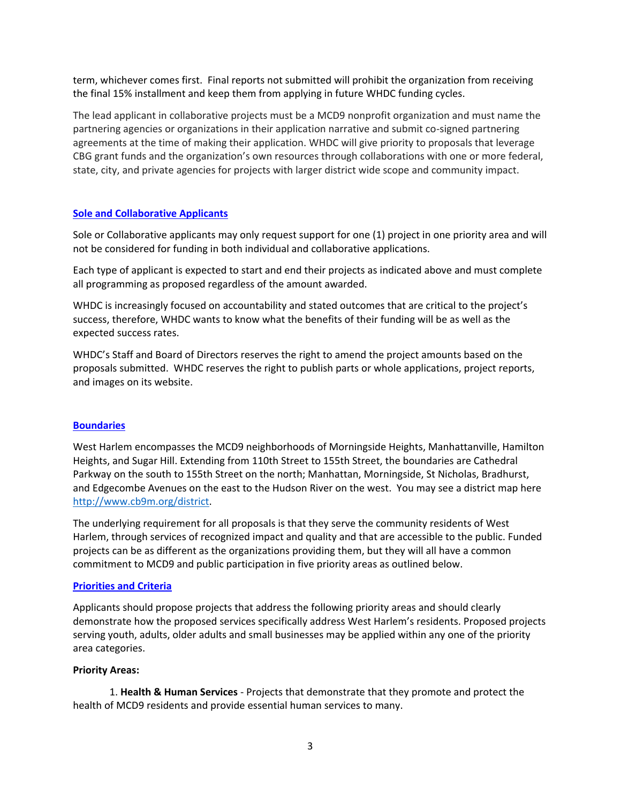term, whichever comes first. Final reports not submitted will prohibit the organization from receiving the final 15% installment and keep them from applying in future WHDC funding cycles.

The lead applicant in collaborative projects must be a MCD9 nonprofit organization and must name the partnering agencies or organizations in their application narrative and submit co-signed partnering agreements at the time of making their application. WHDC will give priority to proposals that leverage CBG grant funds and the organization's own resources through collaborations with one or more federal, state, city, and private agencies for projects with larger district wide scope and community impact.

#### **Sole and Collaborative Applicants**

Sole or Collaborative applicants may only request support for one (1) project in one priority area and will not be considered for funding in both individual and collaborative applications.

Each type of applicant is expected to start and end their projects as indicated above and must complete all programming as proposed regardless of the amount awarded.

WHDC is increasingly focused on accountability and stated outcomes that are critical to the project's success, therefore, WHDC wants to know what the benefits of their funding will be as well as the expected success rates.

WHDC's Staff and Board of Directors reserves the right to amend the project amounts based on the proposals submitted. WHDC reserves the right to publish parts or whole applications, project reports, and images on its website.

#### **Boundaries**

West Harlem encompasses the MCD9 neighborhoods of Morningside Heights, Manhattanville, Hamilton Heights, and Sugar Hill. Extending from 110th Street to 155th Street, the boundaries are Cathedral Parkway on the south to 155th Street on the north; Manhattan, Morningside, St Nicholas, Bradhurst, and Edgecombe Avenues on the east to the Hudson River on the west. You may see a district map here [http://www.cb9m.org/district.](http://www.cb9m.org/district)

The underlying requirement for all proposals is that they serve the community residents of West Harlem, through services of recognized impact and quality and that are accessible to the public. Funded projects can be as different as the organizations providing them, but they will all have a common commitment to MCD9 and public participation in five priority areas as outlined below.

#### **Priorities and Criteria**

Applicants should propose projects that address the following priority areas and should clearly demonstrate how the proposed services specifically address West Harlem's residents. Proposed projects serving youth, adults, older adults and small businesses may be applied within any one of the priority area categories.

#### **Priority Areas:**

1. **Health & Human Services** - Projects that demonstrate that they promote and protect the health of MCD9 residents and provide essential human services to many.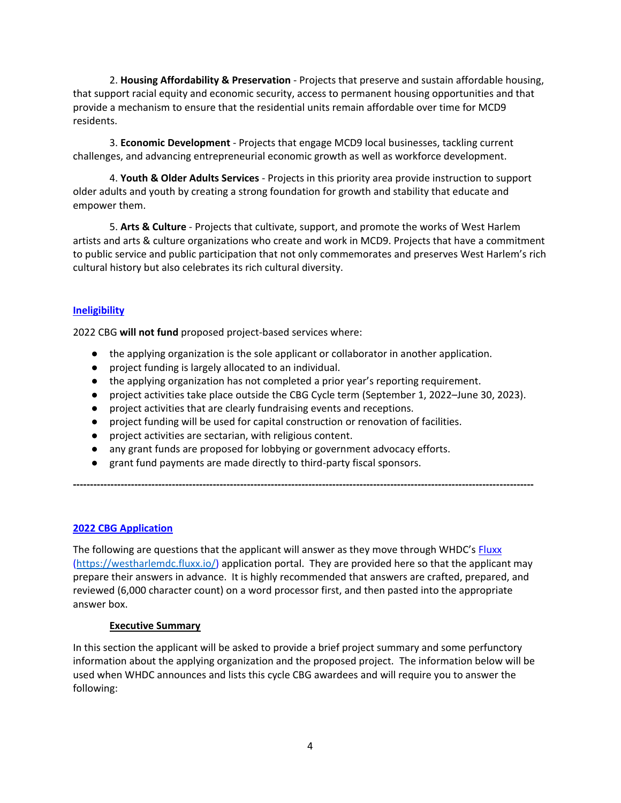2. **Housing Affordability & Preservation** - Projects that preserve and sustain affordable housing, that support racial equity and economic security, access to permanent housing opportunities and that provide a mechanism to ensure that the residential units remain affordable over time for MCD9 residents.

3. **Economic Development** - Projects that engage MCD9 local businesses, tackling current challenges, and advancing entrepreneurial economic growth as well as workforce development.

4. **Youth & Older Adults Services** - Projects in this priority area provide instruction to support older adults and youth by creating a strong foundation for growth and stability that educate and empower them.

5. **Arts & Culture** - Projects that cultivate, support, and promote the works of West Harlem artists and arts & culture organizations who create and work in MCD9. Projects that have a commitment to public service and public participation that not only commemorates and preserves West Harlem's rich cultural history but also celebrates its rich cultural diversity.

#### **Ineligibility**

2022 CBG **will not fund** proposed project-based services where:

- the applying organization is the sole applicant or collaborator in another application.
- project funding is largely allocated to an individual.
- the applying organization has not completed a prior year's reporting requirement.
- project activities take place outside the CBG Cycle term (September 1, 2022–June 30, 2023).
- project activities that are clearly fundraising events and receptions.
- project funding will be used for capital construction or renovation of facilities.
- project activities are sectarian, with religious content.
- any grant funds are proposed for lobbying or government advocacy efforts.
- grant fund payments are made directly to third-party fiscal sponsors.

#### **2022 CBG Application**

The following are questions that the applicant will answer as they move through WHDC's [Fluxx](https://westharlemdc.fluxx.io/) [\(https://westharlemdc.fluxx.io/\)](https://westharlemdc.fluxx.io/user_sessions) application portal. They are provided here so that the applicant may prepare their answers in advance. It is highly recommended that answers are crafted, prepared, and reviewed (6,000 character count) on a word processor first, and then pasted into the appropriate answer box.

**---------------------------------------------------------------------------------------------------------------------------------------**

#### **Executive Summary**

In this section the applicant will be asked to provide a brief project summary and some perfunctory information about the applying organization and the proposed project. The information below will be used when WHDC announces and lists this cycle CBG awardees and will require you to answer the following: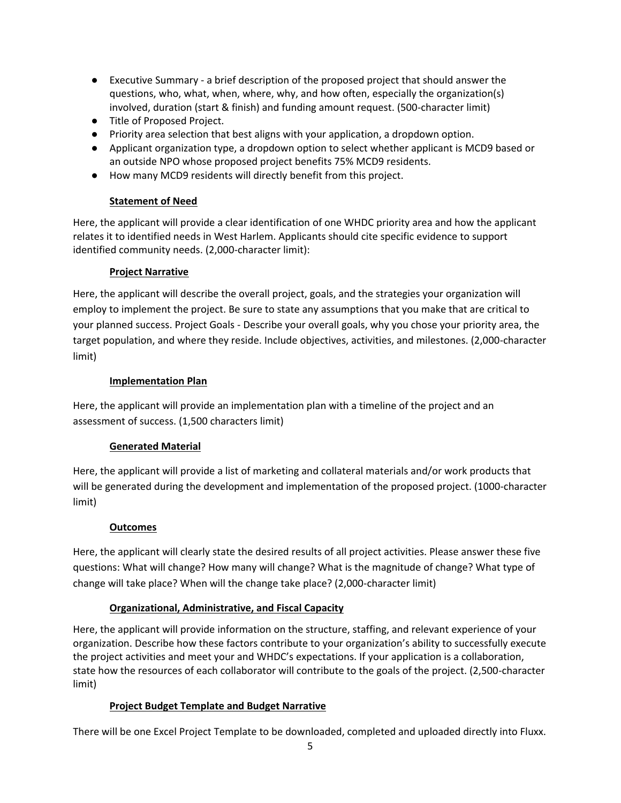- Executive Summary a brief description of the proposed project that should answer the questions, who, what, when, where, why, and how often, especially the organization(s) involved, duration (start & finish) and funding amount request. (500-character limit)
- Title of Proposed Project.
- Priority area selection that best aligns with your application, a dropdown option.
- Applicant organization type, a dropdown option to select whether applicant is MCD9 based or an outside NPO whose proposed project benefits 75% MCD9 residents.
- How many MCD9 residents will directly benefit from this project.

#### **Statement of Need**

Here, the applicant will provide a clear identification of one WHDC priority area and how the applicant relates it to identified needs in West Harlem. Applicants should cite specific evidence to support identified community needs. (2,000-character limit):

#### **Project Narrative**

Here, the applicant will describe the overall project, goals, and the strategies your organization will employ to implement the project. Be sure to state any assumptions that you make that are critical to your planned success. Project Goals - Describe your overall goals, why you chose your priority area, the target population, and where they reside. Include objectives, activities, and milestones. (2,000-character limit)

#### **Implementation Plan**

Here, the applicant will provide an implementation plan with a timeline of the project and an assessment of success. (1,500 characters limit)

## **Generated Material**

Here, the applicant will provide a list of marketing and collateral materials and/or work products that will be generated during the development and implementation of the proposed project. (1000-character limit)

## **Outcomes**

Here, the applicant will clearly state the desired results of all project activities. Please answer these five questions: What will change? How many will change? What is the magnitude of change? What type of change will take place? When will the change take place? (2,000-character limit)

## **Organizational, Administrative, and Fiscal Capacity**

Here, the applicant will provide information on the structure, staffing, and relevant experience of your organization. Describe how these factors contribute to your organization's ability to successfully execute the project activities and meet your and WHDC's expectations. If your application is a collaboration, state how the resources of each collaborator will contribute to the goals of the project. (2,500-character limit)

## **Project Budget Template and Budget Narrative**

There will be one Excel Project Template to be downloaded, completed and uploaded directly into Fluxx.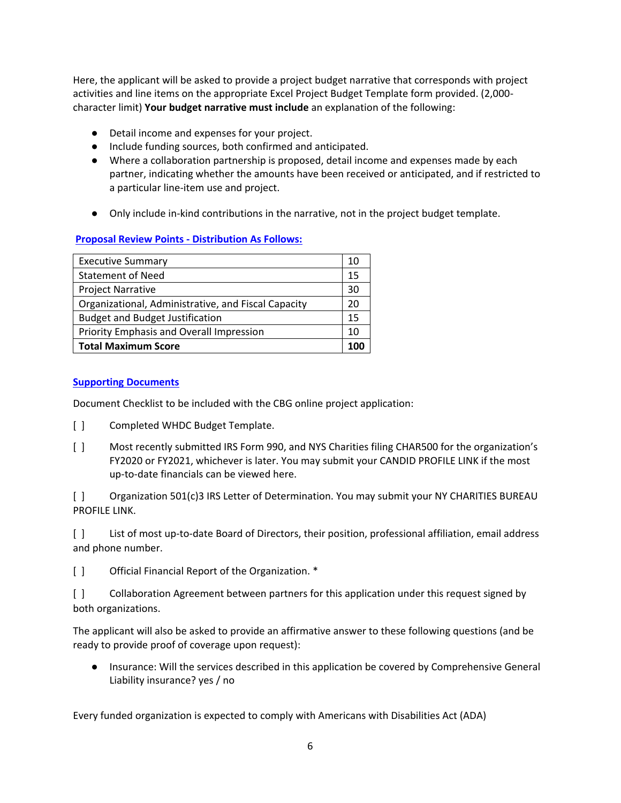Here, the applicant will be asked to provide a project budget narrative that corresponds with project activities and line items on the appropriate Excel Project Budget Template form provided. (2,000 character limit) **Your budget narrative must include** an explanation of the following:

- Detail income and expenses for your project.
- Include funding sources, both confirmed and anticipated.
- Where a collaboration partnership is proposed, detail income and expenses made by each partner, indicating whether the amounts have been received or anticipated, and if restricted to a particular line-item use and project.
- Only include in-kind contributions in the narrative, not in the project budget template.

#### **Proposal Review Points - Distribution As Follows:**

| <b>Executive Summary</b>                            | 10 |
|-----------------------------------------------------|----|
| <b>Statement of Need</b>                            | 15 |
| <b>Project Narrative</b>                            | 30 |
| Organizational, Administrative, and Fiscal Capacity | 20 |
| <b>Budget and Budget Justification</b>              | 15 |
| Priority Emphasis and Overall Impression            | 10 |
| <b>Total Maximum Score</b>                          |    |

#### **Supporting Documents**

Document Checklist to be included with the CBG online project application:

- [] Completed WHDC Budget Template.
- [ ] Most recently submitted IRS Form 990, and NYS Charities filing CHAR500 for the organization's FY2020 or FY2021, whichever is later. You may submit your CANDID PROFILE LINK if the most up-to-date financials can be viewed here.

[ ] Organization 501(c)3 IRS Letter of Determination. You may submit your NY CHARITIES BUREAU PROFILE LINK.

[ ] List of most up-to-date Board of Directors, their position, professional affiliation, email address and phone number.

[] Official Financial Report of the Organization. \*

[ ] Collaboration Agreement between partners for this application under this request signed by both organizations.

The applicant will also be asked to provide an affirmative answer to these following questions (and be ready to provide proof of coverage upon request):

● Insurance: Will the services described in this application be covered by Comprehensive General Liability insurance? yes / no

Every funded organization is expected to comply with Americans with Disabilities Act (ADA)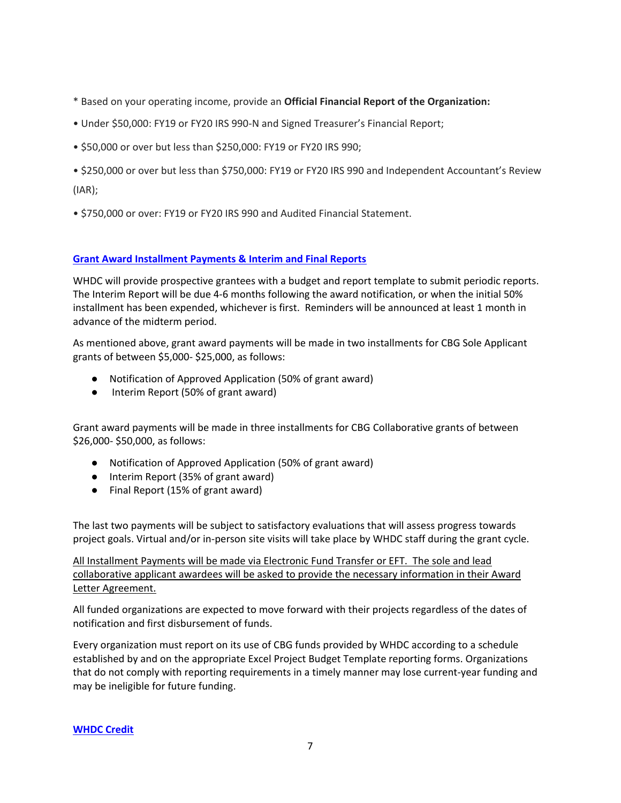- \* Based on your operating income, provide an **Official Financial Report of the Organization:**
- Under \$50,000: FY19 or FY20 IRS 990-N and Signed Treasurer's Financial Report;
- \$50,000 or over but less than \$250,000: FY19 or FY20 IRS 990;
- \$250,000 or over but less than \$750,000: FY19 or FY20 IRS 990 and Independent Accountant's Review (IAR);
- \$750,000 or over: FY19 or FY20 IRS 990 and Audited Financial Statement.

#### **Grant Award Installment Payments & Interim and Final Reports**

WHDC will provide prospective grantees with a budget and report template to submit periodic reports. The Interim Report will be due 4-6 months following the award notification, or when the initial 50% installment has been expended, whichever is first. Reminders will be announced at least 1 month in advance of the midterm period.

As mentioned above, grant award payments will be made in two installments for CBG Sole Applicant grants of between \$5,000- \$25,000, as follows:

- Notification of Approved Application (50% of grant award)
- Interim Report (50% of grant award)

Grant award payments will be made in three installments for CBG Collaborative grants of between \$26,000- \$50,000, as follows:

- Notification of Approved Application (50% of grant award)
- Interim Report (35% of grant award)
- Final Report (15% of grant award)

The last two payments will be subject to satisfactory evaluations that will assess progress towards project goals. Virtual and/or in-person site visits will take place by WHDC staff during the grant cycle.

All Installment Payments will be made via Electronic Fund Transfer or EFT. The sole and lead collaborative applicant awardees will be asked to provide the necessary information in their Award Letter Agreement.

All funded organizations are expected to move forward with their projects regardless of the dates of notification and first disbursement of funds.

Every organization must report on its use of CBG funds provided by WHDC according to a schedule established by and on the appropriate Excel Project Budget Template reporting forms. Organizations that do not comply with reporting requirements in a timely manner may lose current-year funding and may be ineligible for future funding.

#### **WHDC Credit**